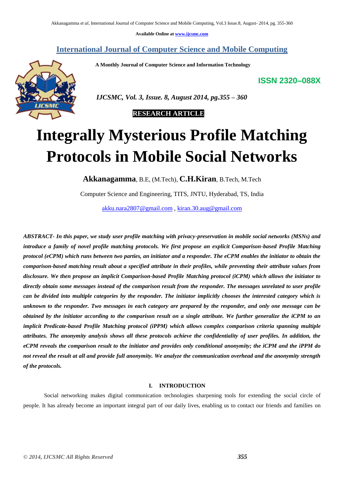**Available Online at [www.ijcsmc.com](http://www.ijcsmc.com/)**

# **International Journal of Computer Science and Mobile Computing**

 **A Monthly Journal of Computer Science and Information Technology**

**ISSN 2320–088X**



 *IJCSMC, Vol. 3, Issue. 8, August 2014, pg.355 – 360*

# **RESEARCH ARTICLE**

# **Integrally Mysterious Profile Matching Protocols in Mobile Social Networks**

**Akkanagamma**, B.E, (M.Tech), **C.H.Kiran**, B.Tech, M.Tech

Computer Science and Engineering, TITS, JNTU, Hyderabad, TS, India

[akku.nara2807@gmail.com](mailto:akku.nara2807@gmail.com) , [kiran.30.aug@gmail.com](mailto:kiran.30.aug@gmail.com)

*ABSTRACT- In this paper, we study user profile matching with privacy-preservation in mobile social networks (MSNs) and introduce a family of novel profile matching protocols. We first propose an explicit Comparison-based Profile Matching protocol (eCPM) which runs between two parties, an initiator and a responder. The eCPM enables the initiator to obtain the comparison-based matching result about a specified attribute in their profiles, while preventing their attribute values from disclosure. We then propose an implicit Comparison-based Profile Matching protocol (iCPM) which allows the initiator to directly obtain some messages instead of the comparison result from the responder. The messages unrelated to user profile can be divided into multiple categories by the responder. The initiator implicitly chooses the interested category which is unknown to the responder. Two messages in each category are prepared by the responder, and only one message can be obtained by the initiator according to the comparison result on a single attribute. We further generalize the iCPM to an implicit Predicate-based Profile Matching protocol (iPPM) which allows complex comparison criteria spanning multiple attributes. The anonymity analysis shows all these protocols achieve the confidentiality of user profiles. In addition, the eCPM reveals the comparison result to the initiator and provides only conditional anonymity; the iCPM and the iPPM do not reveal the result at all and provide full anonymity. We analyze the communication overhead and the anonymity strength of the protocols.*

# **I. INTRODUCTION**

Social networking makes digital communication technologies sharpening tools for extending the social circle of people. It has already become an important integral part of our daily lives, enabling us to contact our friends and families on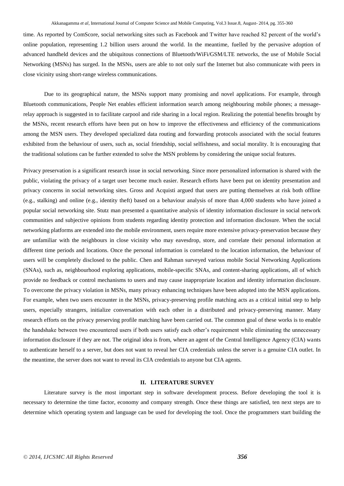time. As reported by ComScore, social networking sites such as Facebook and Twitter have reached 82 percent of the world's online population, representing 1.2 billion users around the world. In the meantime, fuelled by the pervasive adoption of advanced handheld devices and the ubiquitous connections of Bluetooth/WiFi/GSM/LTE networks, the use of Mobile Social Networking (MSNs) has surged. In the MSNs, users are able to not only surf the Internet but also communicate with peers in close vicinity using short-range wireless communications.

Due to its geographical nature, the MSNs support many promising and novel applications. For example, through Bluetooth communications, People Net enables efficient information search among neighbouring mobile phones; a messagerelay approach is suggested in to facilitate carpool and ride sharing in a local region. Realizing the potential benefits brought by the MSNs, recent research efforts have been put on how to improve the effectiveness and efficiency of the communications among the MSN users. They developed specialized data routing and forwarding protocols associated with the social features exhibited from the behaviour of users, such as, social friendship, social selfishness, and social morality. It is encouraging that the traditional solutions can be further extended to solve the MSN problems by considering the unique social features.

Privacy preservation is a significant research issue in social networking. Since more personalized information is shared with the public, violating the privacy of a target user become much easier. Research efforts have been put on identity presentation and privacy concerns in social networking sites. Gross and Acquisti argued that users are putting themselves at risk both offline (e.g., stalking) and online (e.g., identity theft) based on a behaviour analysis of more than 4,000 students who have joined a popular social networking site. Stutz man presented a quantitative analysis of identity information disclosure in social network communities and subjective opinions from students regarding identity protection and information disclosure. When the social networking platforms are extended into the mobile environment, users require more extensive privacy-preservation because they are unfamiliar with the neighbours in close vicinity who may eavesdrop, store, and correlate their personal information at different time periods and locations. Once the personal information is correlated to the location information, the behaviour of users will be completely disclosed to the public. Chen and Rahman surveyed various mobile Social Networking Applications (SNAs), such as, neighbourhood exploring applications, mobile-specific SNAs, and content-sharing applications, all of which provide no feedback or control mechanisms to users and may cause inappropriate location and identity information disclosure. To overcome the privacy violation in MSNs, many privacy enhancing techniques have been adopted into the MSN applications. For example, when two users encounter in the MSNs, privacy-preserving profile matching acts as a critical initial step to help users, especially strangers, initialize conversation with each other in a distributed and privacy-preserving manner. Many research efforts on the privacy preserving profile matching have been carried out. The common goal of these works is to enable the handshake between two encountered users if both users satisfy each other's requirement while eliminating the unnecessary information disclosure if they are not. The original idea is from, where an agent of the Central Intelligence Agency (CIA) wants to authenticate herself to a server, but does not want to reveal her CIA credentials unless the server is a genuine CIA outlet. In the meantime, the server does not want to reveal its CIA credentials to anyone but CIA agents.

# **II. LITERATURE SURVEY**

Literature [survey](http://www.blurtit.com/q876299.html) is the most important step in software development process. Before developing the tool it is necessary to determine the time factor, economy and company strength. Once these things are satisfied, ten next steps are to determine which operating system and language can be used for developing the tool. Once the [programmers](http://www.blurtit.com/q876299.html) start building the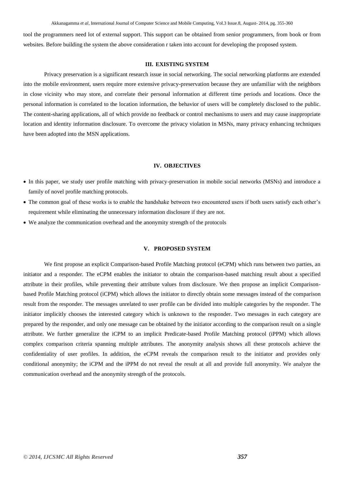tool the programmers need lot of external support. This support can be obtained from senior programmers, from [book](http://www.blurtit.com/q876299.html) or from websites. Before building the system the above consideration r taken into account for developing the proposed system.

#### **III. EXISTING SYSTEM**

Privacy preservation is a significant research issue in social networking. The social networking platforms are extended into the mobile environment, users require more extensive privacy-preservation because they are unfamiliar with the neighbors in close vicinity who may store, and correlate their personal information at different time periods and locations. Once the personal information is correlated to the location information, the behavior of users will be completely disclosed to the public. The content-sharing applications, all of which provide no feedback or control mechanisms to users and may cause inappropriate location and identity information disclosure. To overcome the privacy violation in MSNs, many privacy enhancing techniques have been adopted into the MSN applications.

#### **IV. OBJECTIVES**

- In this paper, we study user profile matching with privacy-preservation in mobile social networks (MSNs) and introduce a family of novel profile matching protocols.
- The common goal of these works is to enable the handshake between two encountered users if both users satisfy each other's requirement while eliminating the unnecessary information disclosure if they are not.
- We analyze the communication overhead and the anonymity strength of the protocols

### **V. PROPOSED SYSTEM**

We first propose an explicit Comparison-based Profile Matching protocol (eCPM) which runs between two parties, an initiator and a responder. The eCPM enables the initiator to obtain the comparison-based matching result about a specified attribute in their profiles, while preventing their attribute values from disclosure. We then propose an implicit Comparisonbased Profile Matching protocol (iCPM) which allows the initiator to directly obtain some messages instead of the comparison result from the responder. The messages unrelated to user profile can be divided into multiple categories by the responder. The initiator implicitly chooses the interested category which is unknown to the responder. Two messages in each category are prepared by the responder, and only one message can be obtained by the initiator according to the comparison result on a single attribute. We further generalize the iCPM to an implicit Predicate-based Profile Matching protocol (iPPM) which allows complex comparison criteria spanning multiple attributes. The anonymity analysis shows all these protocols achieve the confidentiality of user profiles. In addition, the eCPM reveals the comparison result to the initiator and provides only conditional anonymity; the iCPM and the iPPM do not reveal the result at all and provide full anonymity. We analyze the communication overhead and the anonymity strength of the protocols.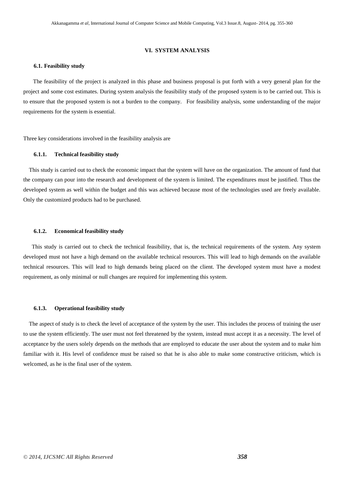# **VI. SYSTEM ANALYSIS**

#### **6.1. Feasibility study**

The feasibility of the project is analyzed in this phase and business proposal is put forth with a very general plan for the project and some cost estimates. During system analysis the feasibility study of the proposed system is to be carried out. This is to ensure that the proposed system is not a burden to the company. For feasibility analysis, some understanding of the major requirements for the system is essential.

Three key considerations involved in the feasibility analysis are

# **6.1.1. Technical feasibility study**

This study is carried out to check the economic impact that the system will have on the organization. The amount of fund that the company can pour into the research and development of the system is limited. The expenditures must be justified. Thus the developed system as well within the budget and this was achieved because most of the technologies used are freely available. Only the customized products had to be purchased.

#### **6.1.2. Economical feasibility study**

This study is carried out to check the technical feasibility, that is, the technical requirements of the system. Any system developed must not have a high demand on the available technical resources. This will lead to high demands on the available technical resources. This will lead to high demands being placed on the client. The developed system must have a modest requirement, as only minimal or null changes are required for implementing this system.

#### **6.1.3. Operational feasibility study**

The aspect of study is to check the level of acceptance of the system by the user. This includes the process of training the user to use the system efficiently. The user must not feel threatened by the system, instead must accept it as a necessity. The level of acceptance by the users solely depends on the methods that are employed to educate the user about the system and to make him familiar with it. His level of confidence must be raised so that he is also able to make some constructive criticism, which is welcomed, as he is the final user of the system.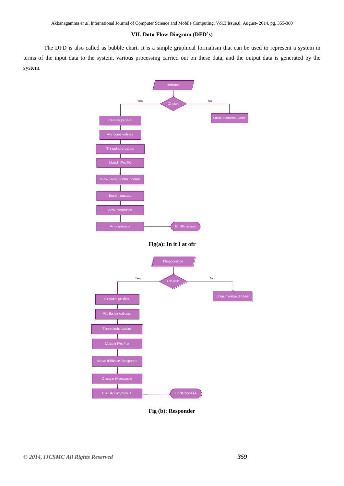# **VII. Data Flow Diagram (DFD's)**

The DFD is also called as bubble chart. It is a simple graphical formalism that can be used to represent a system in terms of the input data to the system, various processing carried out on these data, and the output data is generated by the system.



**Fig (b): Responder**